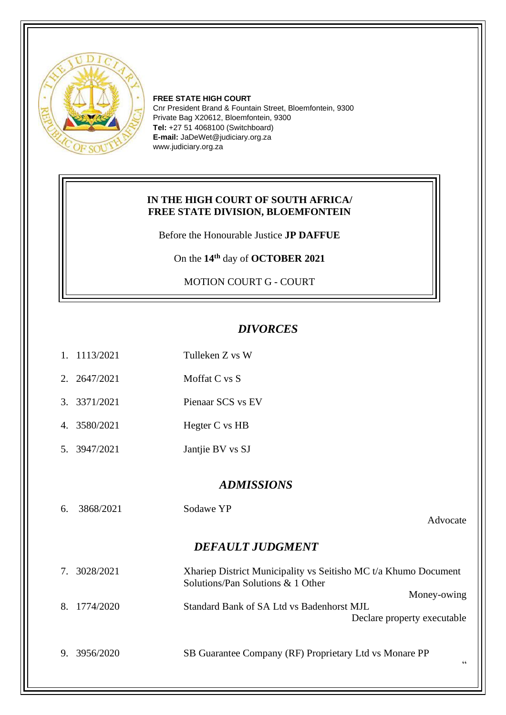

**FREE STATE HIGH COURT** Cnr President Brand & Fountain Street, Bloemfontein, 9300 Private Bag X20612, Bloemfontein, 9300 **Tel:** +27 51 4068100 (Switchboard) **E-mail:** JaDeWet@judiciary.org.za www.judiciary.org.za

## **IN THE HIGH COURT OF SOUTH AFRICA/ FREE STATE DIVISION, BLOEMFONTEIN**

Before the Honourable Justice **JP DAFFUE**

On the **14 th** day of **OCTOBER 2021**

MOTION COURT G - COURT

1. 1113/2021 Tulleken Z vs W

## *DIVORCES*

|                         | 2. 2647/2021 | Moffat C vs S                                                                                        |  |  |  |
|-------------------------|--------------|------------------------------------------------------------------------------------------------------|--|--|--|
| $\mathcal{R}_{\alpha}$  | 3371/2021    | Pienaar SCS vs EV                                                                                    |  |  |  |
|                         | 4. 3580/2021 | Hegter C vs HB                                                                                       |  |  |  |
|                         | 5. 3947/2021 | Jantjie BV vs SJ                                                                                     |  |  |  |
| <b>ADMISSIONS</b>       |              |                                                                                                      |  |  |  |
|                         |              |                                                                                                      |  |  |  |
| 6.                      | 3868/2021    | Sodawe YP                                                                                            |  |  |  |
|                         |              | Advocate                                                                                             |  |  |  |
| <b>DEFAULT JUDGMENT</b> |              |                                                                                                      |  |  |  |
|                         | 7. 3028/2021 | Xhariep District Municipality vs Seitisho MC t/a Khumo Document<br>Solutions/Pan Solutions & 1 Other |  |  |  |
|                         |              | Money-owing                                                                                          |  |  |  |
| 8 <sub>1</sub>          | 1774/2020    | Standard Bank of SA Ltd vs Badenhorst MJL                                                            |  |  |  |
|                         |              | Declare property executable                                                                          |  |  |  |
| 9.                      | 3956/2020    | SB Guarantee Company (RF) Proprietary Ltd vs Monare PP<br>66                                         |  |  |  |
|                         |              |                                                                                                      |  |  |  |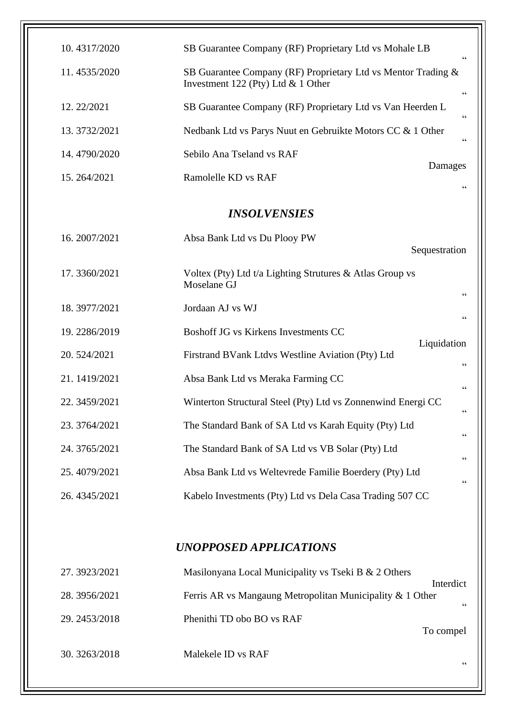| 10.4317/2020        | SB Guarantee Company (RF) Proprietary Ltd vs Mohale LB<br>$\textsf{G}\,\textsf{G}$                                      |  |  |  |  |
|---------------------|-------------------------------------------------------------------------------------------------------------------------|--|--|--|--|
| 11.4535/2020        | SB Guarantee Company (RF) Proprietary Ltd vs Mentor Trading &<br>Investment 122 (Pty) Ltd $& 1$ Other<br>$\zeta\,\zeta$ |  |  |  |  |
| 12.22/2021          | SB Guarantee Company (RF) Proprietary Ltd vs Van Heerden L<br>$\zeta$ $\zeta$                                           |  |  |  |  |
| 13.3732/2021        | Nedbank Ltd vs Parys Nuut en Gebruikte Motors CC & 1 Other<br>$\zeta$ $\zeta$                                           |  |  |  |  |
| 14.4790/2020        | Sebilo Ana Tseland vs RAF                                                                                               |  |  |  |  |
| 15.264/2021         | Damages<br>Ramolelle KD vs RAF                                                                                          |  |  |  |  |
| <b>INSOLVENSIES</b> |                                                                                                                         |  |  |  |  |
| 16.2007/2021        | Absa Bank Ltd vs Du Plooy PW<br>Sequestration                                                                           |  |  |  |  |
| 17.3360/2021        | Voltex (Pty) Ltd t/a Lighting Strutures & Atlas Group vs<br>Moselane GJ<br>$\textsf{G}\,\textsf{G}$                     |  |  |  |  |
| 18.3977/2021        | Jordaan AJ vs WJ<br>$\zeta$ $\zeta$                                                                                     |  |  |  |  |
| 19.2286/2019        | Boshoff JG vs Kirkens Investments CC                                                                                    |  |  |  |  |
| 20.524/2021         | Liquidation<br>Firstrand BVank Ltdvs Westline Aviation (Pty) Ltd<br>$\textsf{G}\,\textsf{G}$                            |  |  |  |  |
| 21.1419/2021        | Absa Bank Ltd vs Meraka Farming CC<br>$\zeta\,\zeta$                                                                    |  |  |  |  |
| 22.3459/2021        | Winterton Structural Steel (Pty) Ltd vs Zonnenwind Energi CC<br>$\textsf{G}\,\textsf{G}$                                |  |  |  |  |
| 23.3764/2021        | The Standard Bank of SA Ltd vs Karah Equity (Pty) Ltd                                                                   |  |  |  |  |
| 24.3765/2021        | $\textsf{G}\,\textsf{G}$<br>The Standard Bank of SA Ltd vs VB Solar (Pty) Ltd<br>$\,$ 6 6 $\,$                          |  |  |  |  |
| 25.4079/2021        | Absa Bank Ltd vs Weltevrede Familie Boerdery (Pty) Ltd<br>$\,$ $\,$ $\,$ $\,$                                           |  |  |  |  |
| 26.4345/2021        | Kabelo Investments (Pty) Ltd vs Dela Casa Trading 507 CC                                                                |  |  |  |  |
|                     |                                                                                                                         |  |  |  |  |

## *UNOPPOSED APPLICATIONS*

| 27.3923/2021  | Masilonyana Local Municipality vs Tseki B & 2 Others                         |
|---------------|------------------------------------------------------------------------------|
| 28.3956/2021  | Interdict<br>Ferris AR vs Mangaung Metropolitan Municipality & 1 Other<br>66 |
| 29. 2453/2018 | Phenithi TD obo BO vs RAF<br>To compel                                       |
| 30. 3263/2018 | Malekele ID vs RAF<br>66                                                     |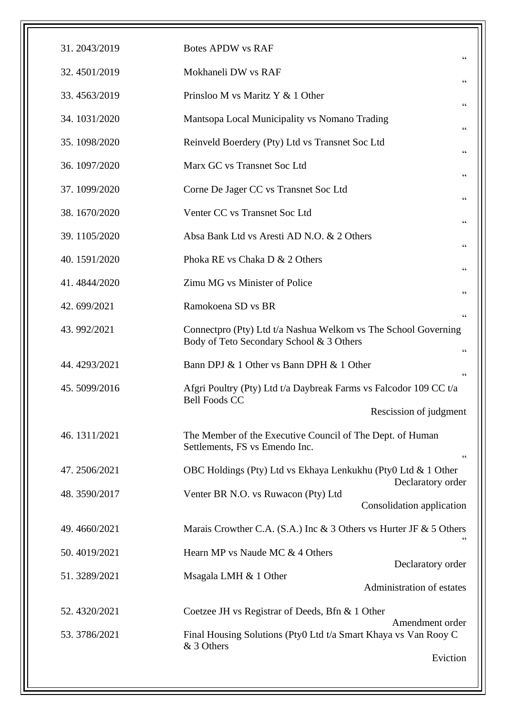| 31.2043/2019 | <b>Botes APDW vs RAF</b><br>$\zeta \, \zeta$                                                                                                                                                                     |  |
|--------------|------------------------------------------------------------------------------------------------------------------------------------------------------------------------------------------------------------------|--|
| 32.4501/2019 | Mokhaneli DW vs RAF<br>$\zeta$ $\zeta$                                                                                                                                                                           |  |
| 33.4563/2019 | Prinsloo M vs Maritz Y & 1 Other<br>$\zeta$ $\zeta$                                                                                                                                                              |  |
| 34.1031/2020 | Mantsopa Local Municipality vs Nomano Trading<br>$\zeta$ $\zeta$                                                                                                                                                 |  |
| 35.1098/2020 | Reinveld Boerdery (Pty) Ltd vs Transnet Soc Ltd<br>$\zeta \, \zeta$                                                                                                                                              |  |
| 36.1097/2020 | Marx GC vs Transnet Soc Ltd<br>$\zeta$ $\zeta$                                                                                                                                                                   |  |
| 37.1099/2020 | Corne De Jager CC vs Transnet Soc Ltd<br>$\zeta\,\zeta$                                                                                                                                                          |  |
| 38.1670/2020 | Venter CC vs Transnet Soc Ltd<br>$\zeta \, \zeta$<br>Absa Bank Ltd vs Aresti AD N.O. & 2 Others<br>66<br>Phoka RE vs Chaka D & 2 Others<br>$\zeta \, \zeta$<br>Zimu MG vs Minister of Police<br>$\zeta \, \zeta$ |  |
| 39.1105/2020 |                                                                                                                                                                                                                  |  |
| 40.1591/2020 |                                                                                                                                                                                                                  |  |
| 41.4844/2020 |                                                                                                                                                                                                                  |  |
| 42.699/2021  | Ramokoena SD vs BR                                                                                                                                                                                               |  |
| 43.992/2021  | $\zeta\,\zeta$<br>Connectpro (Pty) Ltd t/a Nashua Welkom vs The School Governing<br>Body of Teto Secondary School & 3 Others<br>66                                                                               |  |
| 44.4293/2021 | Bann DPJ & 1 Other vs Bann DPH & 1 Other<br>$\epsilon$                                                                                                                                                           |  |
| 45.5099/2016 | Afgri Poultry (Pty) Ltd t/a Daybreak Farms vs Falcodor 109 CC t/a<br><b>Bell Foods CC</b>                                                                                                                        |  |
|              | Rescission of judgment                                                                                                                                                                                           |  |
| 46.1311/2021 | The Member of the Executive Council of The Dept. of Human<br>Settlements, FS vs Emendo Inc.<br>$\zeta$ $\zeta$                                                                                                   |  |
| 47.2506/2021 | OBC Holdings (Pty) Ltd vs Ekhaya Lenkukhu (Pty0 Ltd & 1 Other                                                                                                                                                    |  |
| 48.3590/2017 | Declaratory order<br>Venter BR N.O. vs Ruwacon (Pty) Ltd<br>Consolidation application                                                                                                                            |  |
| 49.4660/2021 | Marais Crowther C.A. (S.A.) Inc & 3 Others vs Hurter JF & 5 Others                                                                                                                                               |  |
| 50.4019/2021 | Hearn MP vs Naude MC & 4 Others                                                                                                                                                                                  |  |
| 51.3289/2021 | Declaratory order<br>Msagala LMH & 1 Other<br>Administration of estates                                                                                                                                          |  |
| 52.4320/2021 | Coetzee JH vs Registrar of Deeds, Bfn & 1 Other                                                                                                                                                                  |  |
| 53.3786/2021 | Amendment order<br>Final Housing Solutions (Pty0 Ltd t/a Smart Khaya vs Van Rooy C<br>& 3 Others                                                                                                                 |  |
|              | Eviction                                                                                                                                                                                                         |  |